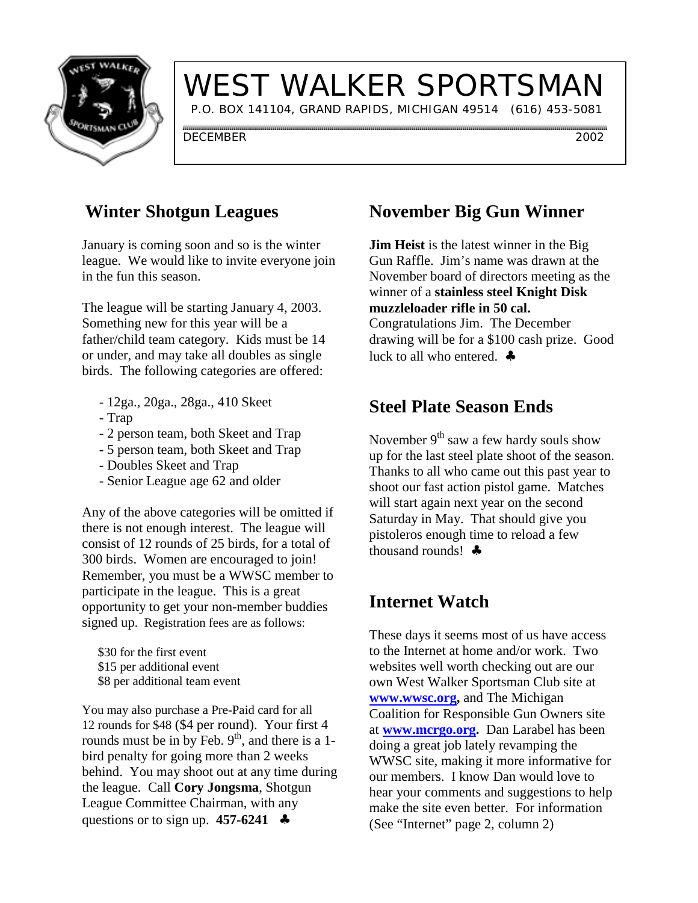

# WEST WALKER SPORTSMAN

P.O. BOX 141104, GRAND RAPIDS, MICHIGAN 49514 (616) 453-5081

DECEMBER 2002

## **Winter Shotgun Leagues**

January is coming soon and so is the winter league. We would like to invite everyone join in the fun this season.

The league will be starting January 4, 2003. Something new for this year will be a father/child team category. Kids must be 14 or under, and may take all doubles as single birds. The following categories are offered:

- 12ga., 20ga., 28ga., 410 Skeet
- Trap
- 2 person team, both Skeet and Trap
- 5 person team, both Skeet and Trap
- Doubles Skeet and Trap
- Senior League age 62 and older

Any of the above categories will be omitted if there is not enough interest. The league will consist of 12 rounds of 25 birds, for a total of 300 birds. Women are encouraged to join! Remember, you must be a WWSC member to participate in the league. This is a great opportunity to get your non-member buddies signed up. Registration fees are as follows:

 \$30 for the first event \$15 per additional event \$8 per additional team event

You may also purchase a Pre-Paid card for all 12 rounds for \$48 (\$4 per round). Your first 4 rounds must be in by Feb.  $9<sup>th</sup>$ , and there is a 1bird penalty for going more than 2 weeks behind. You may shoot out at any time during the league. Call **Cory Jongsma**, Shotgun League Committee Chairman, with any questions or to sign up. **457-6241** ♣

# **November Big Gun Winner**

**Jim Heist** is the latest winner in the Big Gun Raffle. Jim's name was drawn at the November board of directors meeting as the winner of a **stainless steel Knight Disk muzzleloader rifle in 50 cal.** Congratulations Jim. The December drawing will be for a \$100 cash prize. Good luck to all who entered. ♣

# **Steel Plate Season Ends**

November  $9<sup>th</sup>$  saw a few hardy souls show up for the last steel plate shoot of the season. Thanks to all who came out this past year to shoot our fast action pistol game. Matches will start again next year on the second Saturday in May. That should give you pistoleros enough time to reload a few thousand rounds!  $\bullet$ 

### **Internet Watch**

These days it seems most of us have access to the Internet at home and/or work. Two websites well worth checking out are our own West Walker Sportsman Club site at **www.wwsc.org,** and The Michigan Coalition for Responsible Gun Owners site at **www.mcrgo.org.** Dan Larabel has been doing a great job lately revamping the WWSC site, making it more informative for our members. I know Dan would love to hear your comments and suggestions to help make the site even better. For information (See "Internet" page 2, column 2)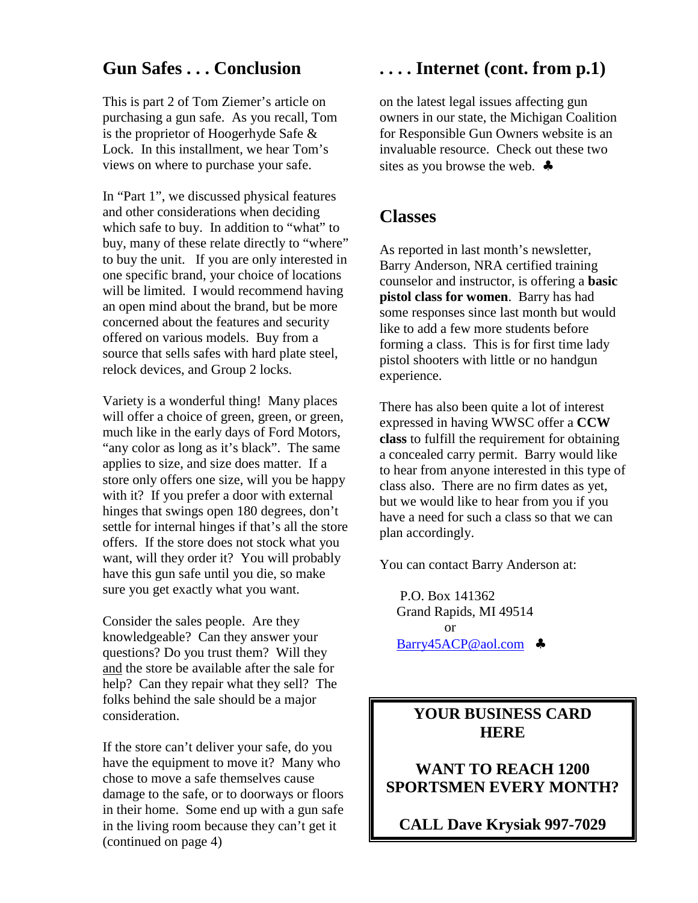#### **Gun Safes . . . Conclusion**

This is part 2 of Tom Ziemer's article on purchasing a gun safe. As you recall, Tom is the proprietor of Hoogerhyde Safe & Lock. In this installment, we hear Tom's views on where to purchase your safe.

In "Part 1", we discussed physical features and other considerations when deciding which safe to buy. In addition to "what" to buy, many of these relate directly to "where" to buy the unit. If you are only interested in one specific brand, your choice of locations will be limited. I would recommend having an open mind about the brand, but be more concerned about the features and security offered on various models. Buy from a source that sells safes with hard plate steel, relock devices, and Group 2 locks.

Variety is a wonderful thing! Many places will offer a choice of green, green, or green, much like in the early days of Ford Motors, "any color as long as it's black". The same applies to size, and size does matter. If a store only offers one size, will you be happy with it? If you prefer a door with external hinges that swings open 180 degrees, don't settle for internal hinges if that's all the store offers. If the store does not stock what you want, will they order it? You will probably have this gun safe until you die, so make sure you get exactly what you want.

Consider the sales people. Are they knowledgeable? Can they answer your questions? Do you trust them? Will they and the store be available after the sale for help? Can they repair what they sell? The folks behind the sale should be a major consideration.

If the store can't deliver your safe, do you have the equipment to move it? Many who chose to move a safe themselves cause damage to the safe, or to doorways or floors in their home. Some end up with a gun safe in the living room because they can't get it (continued on page 4)

#### **. . . . Internet (cont. from p.1)**

on the latest legal issues affecting gun owners in our state, the Michigan Coalition for Responsible Gun Owners website is an invaluable resource. Check out these two sites as you browse the web. ♣

#### **Classes**

As reported in last month's newsletter, Barry Anderson, NRA certified training counselor and instructor, is offering a **basic pistol class for women**. Barry has had some responses since last month but would like to add a few more students before forming a class. This is for first time lady pistol shooters with little or no handgun experience.

There has also been quite a lot of interest expressed in having WWSC offer a **CCW class** to fulfill the requirement for obtaining a concealed carry permit. Barry would like to hear from anyone interested in this type of class also. There are no firm dates as yet, but we would like to hear from you if you have a need for such a class so that we can plan accordingly.

You can contact Barry Anderson at:

 P.O. Box 141362 Grand Rapids, MI 49514 or Barry45ACP@aol.com ♣

#### **YOUR BUSINESS CARD HERE**

**WANT TO REACH 1200 SPORTSMEN EVERY MONTH?**

**CALL Dave Krysiak 997-7029**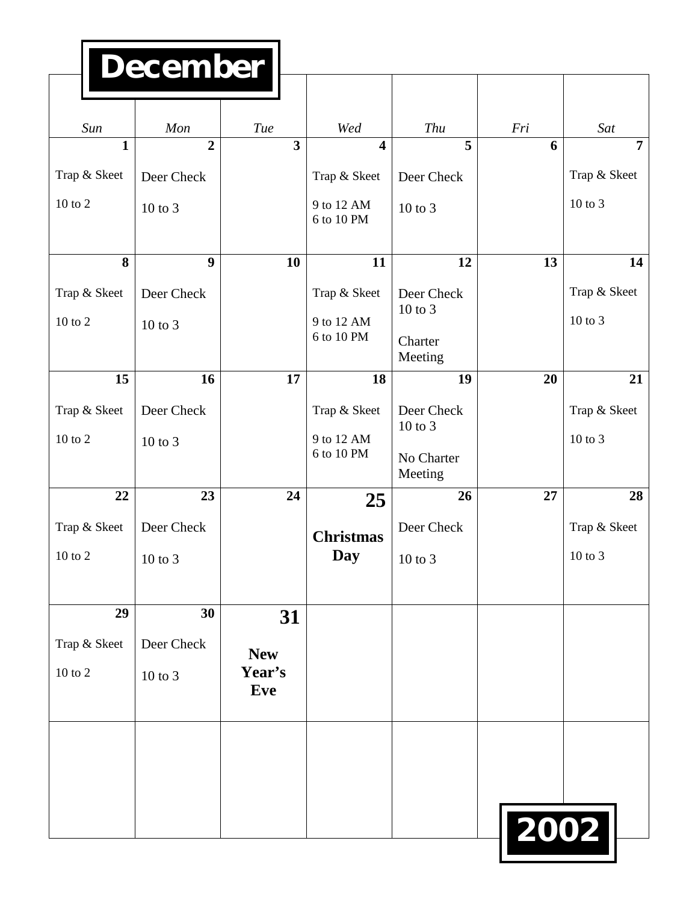# **December**

| Sun          | Mon            | Tue                     | Wed                     | Thu                   | Fri  | Sat            |
|--------------|----------------|-------------------------|-------------------------|-----------------------|------|----------------|
| $\mathbf{1}$ | $\overline{2}$ | $\overline{\mathbf{3}}$ | $\overline{\mathbf{4}}$ | 5                     | 6    | $\overline{7}$ |
| Trap & Skeet | Deer Check     |                         | Trap & Skeet            | Deer Check            |      | Trap & Skeet   |
| 10 to 2      | $10$ to $3$    |                         | 9 to 12 AM              | 10 to 3               |      | 10 to 3        |
|              |                |                         | 6 to 10 PM              |                       |      |                |
| 8            | 9              | 10                      | 11                      | 12                    | 13   | 14             |
| Trap & Skeet | Deer Check     |                         | Trap & Skeet            | Deer Check            |      | Trap & Skeet   |
| 10 to 2      | $10$ to $3$    |                         | 9 to 12 AM              | $10$ to $3$           |      | 10 to 3        |
|              |                |                         | 6 to 10 PM              | Charter<br>Meeting    |      |                |
| 15           | 16             | 17                      | 18                      | 19                    | 20   | 21             |
| Trap & Skeet | Deer Check     |                         | Trap & Skeet            | Deer Check            |      | Trap & Skeet   |
| $10$ to $2$  | $10$ to $3$    |                         | 9 to 12 AM              | $10$ to $3$           |      | 10 to 3        |
|              |                |                         | 6 to 10 PM              | No Charter<br>Meeting |      |                |
| 22           | 23             | 24                      | 25                      | 26                    | 27   | 28             |
| Trap & Skeet | Deer Check     |                         |                         | Deer Check            |      | Trap & Skeet   |
| 10 to 2      | $10$ to $3$    |                         | <b>Christmas</b><br>Day | $10$ to $3$           |      | $10$ to $3$    |
|              |                |                         |                         |                       |      |                |
| 29           | 30             | 31                      |                         |                       |      |                |
| Trap & Skeet | Deer Check     |                         |                         |                       |      |                |
| 10 to 2      |                | <b>New</b><br>Year's    |                         |                       |      |                |
|              | 10 to 3        | <b>Eve</b>              |                         |                       |      |                |
|              |                |                         |                         |                       |      |                |
|              |                |                         |                         |                       |      |                |
|              |                |                         |                         |                       |      |                |
|              |                |                         |                         |                       |      |                |
|              |                |                         |                         |                       | 2002 |                |